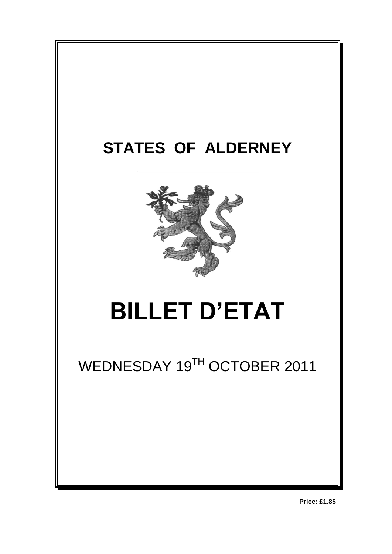## **STATES OF ALDERNEY**



# **BILLET D'ETAT**

### WEDNESDAY 19TH OCTOBER 2011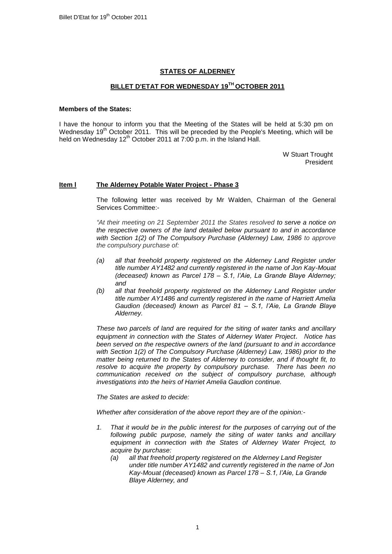#### **STATES OF ALDERNEY**

#### **BILLET D'ETAT FOR WEDNESDAY 19TH OCTOBER 2011**

#### **Members of the States:**

I have the honour to inform you that the Meeting of the States will be held at 5:30 pm on Wednesday  $19<sup>th</sup>$  October 2011. This will be preceded by the People's Meeting, which will be held on Wednesday 12<sup>th</sup> October 2011 at 7:00 p.m. in the Island Hall.

> W Stuart Trought President

#### **Item l The Alderney Potable Water Project - Phase 3**

The following letter was received by Mr Walden, Chairman of the General Services Committee:-

*"At their meeting on 21 September 2011 the States resolved to serve a notice on the respective owners of the land detailed below pursuant to and in accordance with Section 1(2) of The Compulsory Purchase (Alderney) Law, 1986 to approve the compulsory purchase of:* 

- *(a) all that freehold property registered on the Alderney Land Register under title number AY1482 and currently registered in the name of Jon Kay-Mouat (deceased) known as Parcel 178 – S.1, l'Aie, La Grande Blaye Alderney; and*
- *(b) all that freehold property registered on the Alderney Land Register under title number AY1486 and currently registered in the name of Harriett Amelia Gaudion (deceased) known as Parcel 81 – S.1, l'Aie, La Grande Blaye Alderney.*

*These two parcels of land are required for the siting of water tanks and ancillary equipment in connection with the States of Alderney Water Project. Notice has been served on the respective owners of the land (pursuant to and in accordance with Section 1(2) of The Compulsory Purchase (Alderney) Law, 1986) prior to the matter being returned to the States of Alderney to consider, and if thought fit, to resolve to acquire the property by compulsory purchase. There has been no communication received on the subject of compulsory purchase, although investigations into the heirs of Harriet Amelia Gaudion continue.* 

*The States are asked to decide:*

*Whether after consideration of the above report they are of the opinion:-*

- *1. That it would be in the public interest for the purposes of carrying out of the following public purpose, namely the siting of water tanks and ancillary equipment in connection with the States of Alderney Water Project, to acquire by purchase:*
	- *(a) all that freehold property registered on the Alderney Land Register under title number AY1482 and currently registered in the name of Jon Kay-Mouat (deceased) known as Parcel 178 – S.1, l'Aie, La Grande Blaye Alderney, and*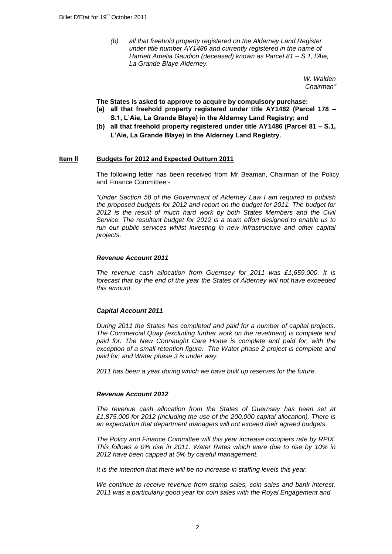*(b) all that freehold property registered on the Alderney Land Register under title number AY1486 and currently registered in the name of Harriett Amelia Gaudion (deceased) known as Parcel 81 – S.1, l'Aie, La Grande Blaye Alderney.*

> *W. Walden Chairman"*

**The States is asked to approve to acquire by compulsory purchase:**

- **(a) all that freehold property registered under title AY1482 (Parcel 178 – S.1, L'Aie, La Grande Blaye) in the Alderney Land Registry; and**
- **(b) all that freehold property registered under title AY1486 (Parcel 81 – S.1, L'Aie, La Grande Blaye) in the Alderney Land Registry.**

#### **Item ll Budgets for 2012 and Expected Outturn 2011**

The following letter has been received from Mr Beaman, Chairman of the Policy and Finance Committee:-

*"Under Section 58 of the Government of Alderney Law I am required to publish the proposed budgets for 2012 and report on the budget for 2011. The budget for 2012 is the result of much hard work by both States Members and the Civil Service. The resultant budget for 2012 is a team effort designed to enable us to*  run our public services whilst investing in new infrastructure and other capital *projects.*

#### *Revenue Account 2011*

*The revenue cash allocation from Guernsey for 2011 was £1,659,000. It is forecast that by the end of the year the States of Alderney will not have exceeded this amount.*

#### *Capital Account 2011*

*During 2011 the States has completed and paid for a number of capital projects. The Commercial Quay (excluding further work on the revetment) is complete and*  paid for. The New Connaught Care Home is complete and paid for, with the *exception of a small retention figure. The Water phase 2 project is complete and paid for, and Water phase 3 is under way.*

*2011 has been a year during which we have built up reserves for the future.*

#### *Revenue Account 2012*

*The revenue cash allocation from the States of Guernsey has been set at £1,875,000 for 2012 (including the use of the 200,000 capital allocation). There is an expectation that department managers will not exceed their agreed budgets.* 

*The Policy and Finance Committee will this year increase occupiers rate by RPIX. This follows a 0% rise in 2011. Water Rates which were due to rise by 10% in 2012 have been capped at 5% by careful management.*

*It is the intention that there will be no increase in staffing levels this year.*

*We continue to receive revenue from stamp sales, coin sales and bank interest. 2011 was a particularly good year for coin sales with the Royal Engagement and*